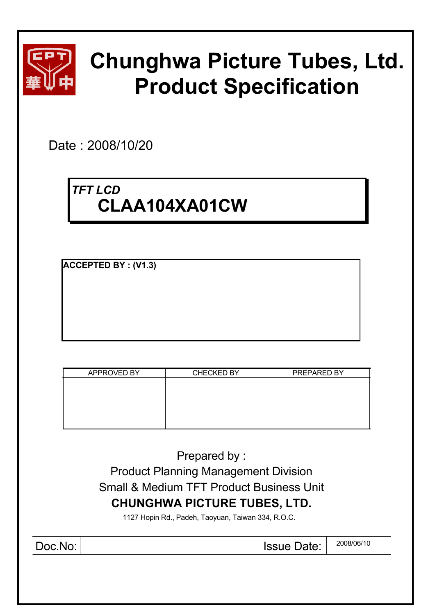

# **Chunghwa Picture Tubes, Ltd. Product Specification**

Date : 2008/10/20

# *TFT LCD* **CLAA104XA01CW**

**ACCEPTED BY : (V1.3)**

| APPROVED BY | <b>CHECKED BY</b> | PREPARED BY |
|-------------|-------------------|-------------|
|             |                   |             |
|             |                   |             |
|             |                   |             |
|             |                   |             |
|             |                   |             |
|             |                   |             |

Prepared by : Product Planning Management Division Small & Medium TFT Product Business Unit **CHUNGHWA PICTURE TUBES, LTD.**

1127 Hopin Rd., Padeh, Taoyuan, Taiwan 334, R.O.C.

Doc.No:  $\vert$  2008/06/10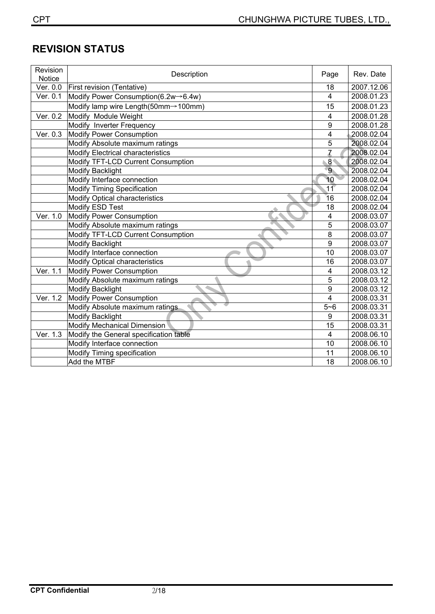# **REVISION STATUS**

| Revision<br><b>Notice</b>     | Description                              | Page                    | Rev. Date  |
|-------------------------------|------------------------------------------|-------------------------|------------|
| $\overline{\text{Ver}}$ . 0.0 | First revision (Tentative)               | 18                      | 2007.12.06 |
| Ver. 0.1                      | Modify Power Consumption(6.2w -> 6.4w)   | $\overline{4}$          | 2008.01.23 |
|                               | Modify lamp wire Length(50mm->100mm)     | 15                      | 2008.01.23 |
| Ver. 0.2                      | Modify Module Weight                     | 4                       | 2008.01.28 |
|                               | Modify Inverter Frequency                | 9                       | 2008.01.28 |
| Ver. 0.3                      | <b>Modify Power Consumption</b>          | 4                       | 2008.02.04 |
|                               | Modify Absolute maximum ratings          | 5                       | 2008.02.04 |
|                               | <b>Modify Electrical characteristics</b> | $\overline{z}$          | 2008.02.04 |
|                               | Modify TFT-LCD Current Consumption       | 8 <sup>4</sup>          | 2008.02.04 |
|                               | <b>Modify Backlight</b>                  | $\overline{9}$          | 2008.02.04 |
|                               | Modify Interface connection              | 10                      | 2008.02.04 |
|                               | <b>Modify Timing Specification</b>       | 11                      | 2008.02.04 |
|                               | Modify Optical characteristics           | 16                      | 2008.02.04 |
|                               | Modify ESD Test                          | 18                      | 2008.02.04 |
| Ver. 1.0                      | Modify Power Consumption                 | 4                       | 2008.03.07 |
|                               | Modify Absolute maximum ratings          | 5                       | 2008.03.07 |
|                               | Modify TFT-LCD Current Consumption       | 8                       | 2008.03.07 |
|                               | <b>Modify Backlight</b>                  | 9                       | 2008.03.07 |
|                               | Modify Interface connection              | 10                      | 2008.03.07 |
|                               | Modify Optical characteristics           | 16                      | 2008.03.07 |
| Ver. 1.1                      | <b>Modify Power Consumption</b>          | 4                       | 2008.03.12 |
|                               | Modify Absolute maximum ratings          | 5                       | 2008.03.12 |
|                               | <b>Modify Backlight</b>                  | 9                       | 2008.03.12 |
| Ver. 1.2                      | Modify Power Consumption                 | $\overline{\mathbf{4}}$ | 2008.03.31 |
|                               | Modify Absolute maximum ratings          | $5 - 6$                 | 2008.03.31 |
|                               | <b>Modify Backlight</b>                  | 9                       | 2008.03.31 |
|                               | <b>Modify Mechanical Dimension</b>       | 15                      | 2008.03.31 |
| Ver. 1.3                      | Modify the General specification table   | 4                       | 2008.06.10 |
|                               | Modify Interface connection              | 10                      | 2008.06.10 |
|                               | Modify Timing specification              | 11                      | 2008.06.10 |
|                               | Add the MTBF                             | 18                      | 2008.06.10 |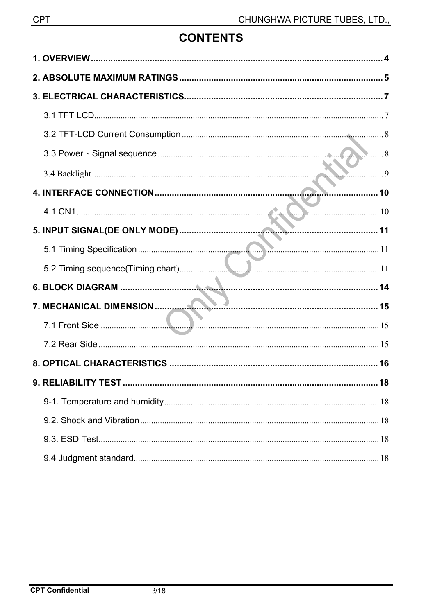# **CONTENTS**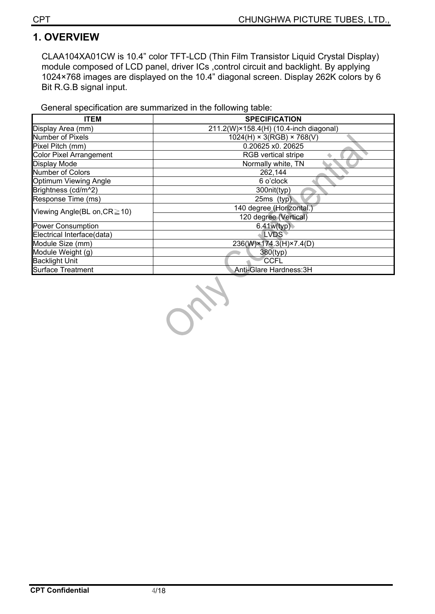# **1. OVERVIEW**

CLAA104XA01CW is 10.4" color TFT-LCD (Thin Film Transistor Liquid Crystal Display) module composed of LCD panel, driver ICs ,control circuit and backlight. By applying 1024×768 images are displayed on the 10.4" diagonal screen. Display 262K colors by 6 Bit R.G.B signal input.

General specification are summarized in the following table:

| <b>ITEM</b>                        | <b>SPECIFICATION</b>                   |
|------------------------------------|----------------------------------------|
| Display Area (mm)                  | 211.2(W)×158.4(H) (10.4-inch diagonal) |
| Number of Pixels                   | $1024(H) \times 3(RGB) \times 768(V)$  |
| Pixel Pitch (mm)                   | 0.20625 x0. 20625                      |
| <b>Color Pixel Arrangement</b>     | <b>RGB</b> vertical stripe             |
| Display Mode                       | Normally white, TN                     |
| Number of Colors                   | 262,144                                |
| Optimum Viewing Angle              | 6 o'clock                              |
| Brightness (cd/m^2)                | 300nit(typ)                            |
| Response Time (ms)                 | 25ms (typ)                             |
| Viewing Angle(BL on, $CR \ge 10$ ) | 140 degree (Horizontal.)               |
|                                    | 120 degree (Vertical)                  |
| <b>Power Consumption</b>           | 6.41w(typ)                             |
| Electrical Interface(data)         | <b>LVDS</b>                            |
| Module Size (mm)                   | 236(W)×174.3(H)×7.4(D)                 |
| Module Weight (g)                  | 380(typ)                               |
| <b>Backlight Unit</b>              | <b>CCFL</b>                            |
| <b>Surface Treatment</b>           | Anti-Glare Hardness: 3H                |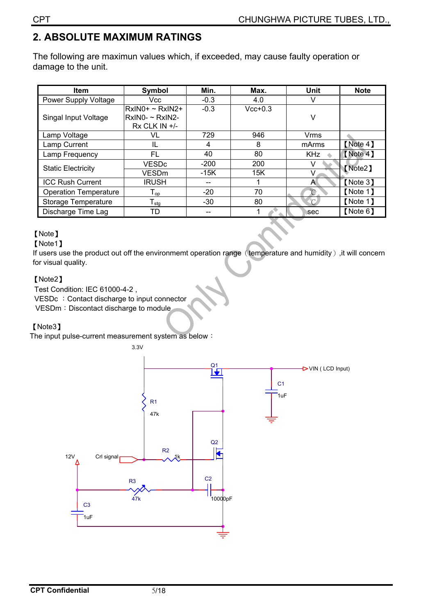# **2. ABSOLUTE MAXIMUM RATINGS**

The following are maximun values which, if exceeded, may cause faulty operation or damage to the unit.

| ltem                         | Symbol                                                              | Min.        | Max.      | <b>Unit</b>       | <b>Note</b> |  |
|------------------------------|---------------------------------------------------------------------|-------------|-----------|-------------------|-------------|--|
| Power Supply Voltage         | Vcc                                                                 | $-0.3$      | 4.0       |                   |             |  |
| Singal Input Voltage         | $RxINO+ \sim RxINO+$<br>$RxINO - \sim RxINO -$<br>$Rx$ CLK IN $+/-$ | $-0.3$      | $Vcc+0.3$ | v                 |             |  |
| Lamp Voltage                 | VL                                                                  | 729         | 946       | Vrms              |             |  |
| Lamp Current                 | IL                                                                  | 4           | 8         | mArms             | [Note 4]    |  |
| Lamp Frequency               | FL                                                                  | 40          | 80        | <b>KHz</b>        | [Note 4]    |  |
| <b>Static Electricity</b>    | <b>VESDc</b>                                                        | $-200$      | 200       |                   | [Note2]     |  |
|                              | <b>VESD<sub>m</sub></b>                                             | 15K<br>-15K |           | v                 |             |  |
| <b>ICC Rush Current</b>      | <b>IRUSH</b>                                                        | --          |           | A                 | [Note 3]    |  |
| <b>Operation Temperature</b> | $\mathsf{T}_{\mathsf{op}}$                                          | $-20$       | 70        | $\rm ^{\circ}\!C$ | [Note 1]    |  |
| Storage Temperature          | $T_{\text{stg}}$                                                    | $-30$       | 80        | $^{\circ}$ C      | [Note 1]    |  |
| Discharge Time Lag           | TD                                                                  |             |           | sec               | [Note 6]    |  |

#### [Note]

#### [Note1]

If users use the product out off the environmemt operation range (temperature and humidity), it will concern for visual quality.

#### [Note2]

Test Condition: IEC 61000-4-2 , VESDc : Contact discharge to input connector VESDm: Discontact discharge to module

#### [Note3]

The input pulse-current measurement system as below :

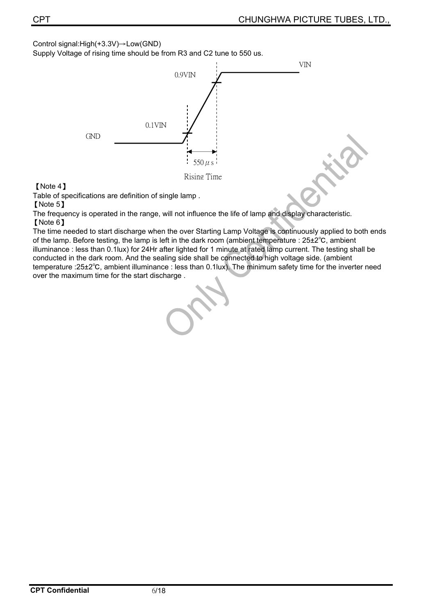Control signal: $High(+3.3V) \rightarrow Low(GND)$ 

Supply Voltage of rising time should be from R3 and C2 tune to 550 us.



[Note 4]

Table of specifications are definition of single lamp .

**[Note 5]** 

The frequency is operated in the range, will not influence the life of lamp and display characteristic. [Note 6]

The time needed to start discharge when the over Starting Lamp Voltage is continuously applied to both ends of the lamp. Before testing, the lamp is left in the dark room (ambient temperature :  $25\pm2^{\circ}$ C, ambient illuminance : less than 0.1lux) for 24Hr after lighted for 1 minute at rated lamp current. The testing shall be conducted in the dark room. And the sealing side shall be connected to high voltage side. (ambient temperature :25±2͠, ambient illuminance : less than 0.1lux). The minimum safety time for the inverter need over the maximum time for the start discharge .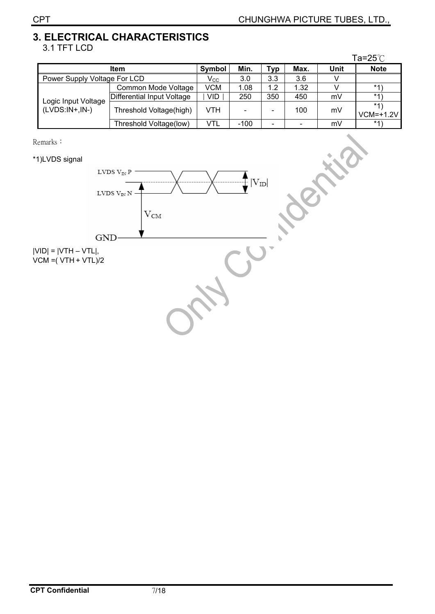#### **3. ELECTRICAL CHARACTERISTICS**  3.1 TFT LCD

|                                         |                            |            |        |                              |      |      | Ta= $25^\circ$ C     |
|-----------------------------------------|----------------------------|------------|--------|------------------------------|------|------|----------------------|
|                                         | <b>Item</b>                | Symbol     | Min.   | <b>Typ</b>                   | Max. | Unit | <b>Note</b>          |
| Power Supply Voltage For LCD            | $\mathsf{V}_{\mathsf{CC}}$ | 3.0        | 3.3    | 3.6                          |      |      |                      |
|                                         | Common Mode Voltage        | VCM        | 1.08   | 1.2                          | 1.32 |      | $*1$                 |
|                                         | Differential Input Voltage | <b>VID</b> | 250    | 350                          | 450  | mV   | $*1)$                |
| Logic Input Voltage<br>$(LVDS:IN+.IN-)$ | Threshold Voltage(high)    | VTH        |        | $\qquad \qquad \blacksquare$ | 100  | mV   | $*1)$<br>$VCM=+1.2V$ |
|                                         | Threshold Voltage(low)     | VTL        | $-100$ | ۰                            |      | mV   | *1)                  |

Remarks:

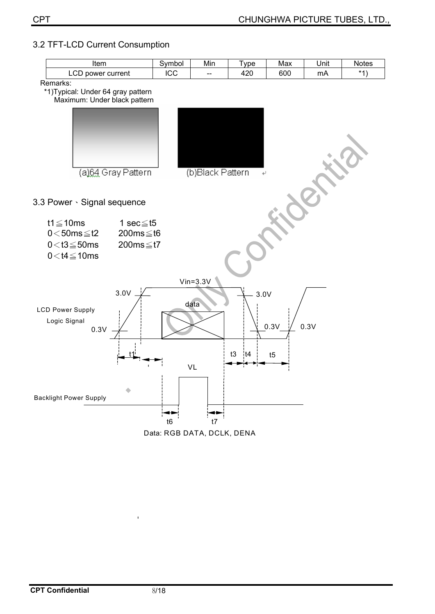#### 3.2 TFT-LCD Current Consumption

| Item                                                                             |                                                       | Symbol         | Min                          | <b>Type</b>       | Max        | Unit  | Notes |
|----------------------------------------------------------------------------------|-------------------------------------------------------|----------------|------------------------------|-------------------|------------|-------|-------|
| LCD power current                                                                | ICC                                                   | --             | 420                          | 600               | mA         | $*1)$ |       |
| Remarks:<br>*1) Typical: Under 64 gray pattern<br>Maximum: Under black pattern   |                                                       |                |                              |                   |            |       |       |
| (a)64 Gray Pattern                                                               |                                                       |                | (b)Black Pattern             |                   |            |       |       |
| 3.3 Power · Signal sequence                                                      |                                                       |                |                              |                   |            |       |       |
| t1 $\leq$ 10ms<br>$0<50ms \leq t2$<br>$0<$ t3 $\leq$ 50ms<br>$0<$ t4 $\leq$ 10ms | 1 sec $\leq$ t5<br>200ms $\leq$ t6<br>200ms $\leq$ t7 |                |                              |                   |            |       |       |
| 3.0V<br><b>LCD Power Supply</b><br>Logic Signal<br>0.3V                          |                                                       |                | $V$ in= $3.3V$<br>data<br>VL | 3.0V<br> t4<br>t3 | 0.3V<br>t5 | 0.3V  |       |
| <b>Backlight Power Supply</b>                                                    |                                                       | t <sub>6</sub> | t7                           |                   |            |       |       |



 $\bar{\mathbf{r}}$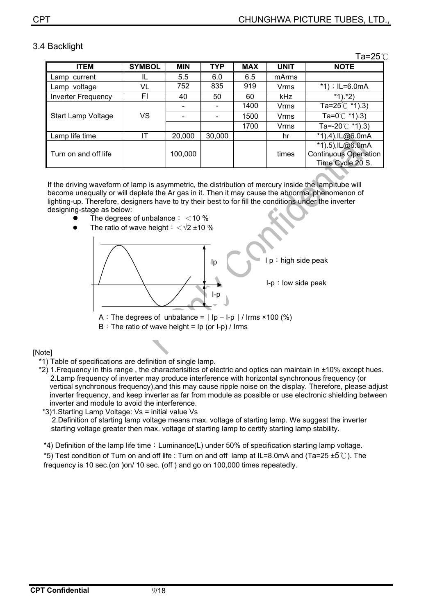#### 3.4 Backlight

Ta= $25^\circ$ C

| <b>ITEM</b>               | <b>SYMBOL</b> | <b>MIN</b> | <b>TYP</b> | <b>MAX</b> | <b>UNIT</b> | <b>NOTE</b>                 |
|---------------------------|---------------|------------|------------|------------|-------------|-----------------------------|
| Lamp current              | IL            | 5.5        | 6.0        | 6.5        | mArms       |                             |
| Lamp voltage              | VL            | 752        | 835        | 919        | <b>Vrms</b> | *1); $IL=6.0mA$             |
| <b>Inverter Frequency</b> | FI            | 40         | 50         | 60         | <b>kHz</b>  | $*1$ .*2)                   |
|                           |               |            |            | 1400       | <b>Vrms</b> | Ta=25 $°C$ *1).3)           |
| <b>Start Lamp Voltage</b> | VS            |            |            | 1500       | <b>Vrms</b> | Ta=0 $^{\circ}$ C *1).3)    |
|                           |               |            |            | 1700       | <b>Vrms</b> | Ta=-20 $\degree$ C *1).3)   |
| Lamp life time            | ΙT            | 20,000     | 30,000     |            | hr          | *1).4), IL@6.0mA            |
|                           |               |            |            |            |             | *1).5), IL@6.0mA            |
| Turn on and off life      |               | 100,000    |            |            | times       | <b>Continuous Openation</b> |
|                           |               |            |            |            |             | Time Cycle 20 S.            |

If the driving waveform of lamp is asymmetric, the distribution of mercury inside the lamp tube will become unequally or will deplete the Ar gas in it. Then it may cause the abnormal phenomenon of lighting-up. Therefore, designers have to try their best to for fill the conditions under the inverter designing-stage as below:

- The degrees of unbalance:  $<$  10 %
- The ratio of wave height:  $\langle \sqrt{2} \pm 10 \ \%$



 $B:$  The ratio of wave height = Ip (or I-p) / Irms

#### [Note]

\*1) Table of specifications are definition of single lamp.

 \*2) 1.Frequency in this range , the characterisitics of electric and optics can maintain in ±10% except hues. 2.Lamp frequency of inverter may produce interference with horizontal synchronous frequency (or vertical synchronous frequency),and this may cause ripple noise on the display. Therefore, please adjust inverter frequency, and keep inverter as far from module as possible or use electronic shielding between inverter and module to avoid the interference.

\*3)1.Starting Lamp Voltage: Vs = initial value Vs

2.Definition of starting lamp voltage means max. voltage of starting lamp. We suggest the inverter starting voltage greater then max. voltage of starting lamp to certify starting lamp stability.

\*4) Definition of the lamp life time: Luminance(L) under 50% of specification starting lamp voltage.

\*5) Test condition of Turn on and off life : Turn on and off lamp at IL=8.0mA and (Ta=25  $\pm$ 5°C). The frequency is 10 sec.(on )on/ 10 sec. (off ) and go on 100,000 times repeatedly.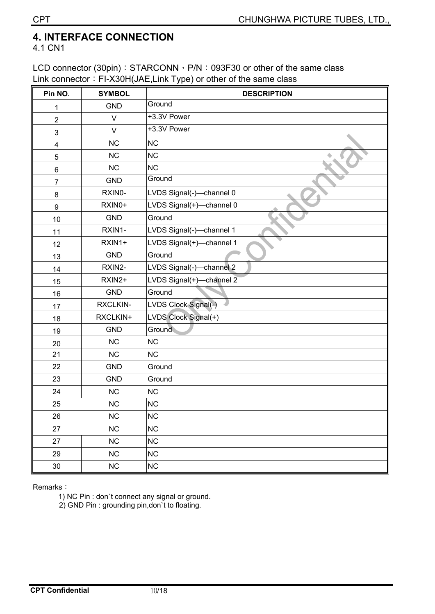### **4. INTERFACE CONNECTION**

4.1 CN1

LCD connector (30pin): STARCONN, P/N: 093F30 or other of the same class Link connector: FI-X30H(JAE,Link Type) or other of the same class

| Pin NO.          | <b>SYMBOL</b> | <b>DESCRIPTION</b>       |
|------------------|---------------|--------------------------|
| 1                | <b>GND</b>    | Ground                   |
| $\overline{c}$   | $\vee$        | +3.3V Power              |
| 3                | $\vee$        | +3.3V Power              |
| 4                | <b>NC</b>     | <b>NC</b>                |
| 5                | <b>NC</b>     | <b>NC</b>                |
| 6                | NC            | <b>NC</b>                |
| $\overline{7}$   | <b>GND</b>    | Ground                   |
| 8                | RXINO-        | LVDS Signal(-)-channel 0 |
| $\boldsymbol{9}$ | RXIN0+        | LVDS Signal(+)-channel 0 |
| 10               | <b>GND</b>    | Ground                   |
| 11               | RXIN1-        | LVDS Signal(-)-channel 1 |
| 12               | RXIN1+        | LVDS Signal(+)-channel 1 |
| 13               | <b>GND</b>    | Ground                   |
| 14               | RXIN2-        | LVDS Signal(-)-channel 2 |
| 15               | RXIN2+        | LVDS Signal(+)-channel 2 |
| 16               | <b>GND</b>    | Ground                   |
| 17               | RXCLKIN-      | LVDS Clock Signal(-)     |
| 18               | RXCLKIN+      | LVDS Clock Signal(+)     |
| 19               | <b>GND</b>    | Ground                   |
| 20               | NC            | <b>NC</b>                |
| 21               | NC            | NC                       |
| 22               | <b>GND</b>    | Ground                   |
| 23               | <b>GND</b>    | Ground                   |
| 24               | NC            | NC                       |
| 25               | NC            | <b>NC</b>                |
| 26               | $NC$          | <b>NC</b>                |
| 27               | NC            | <b>NC</b>                |
| 27               | NC            | <b>NC</b>                |
| 29               | NC            | <b>NC</b>                |
| $30\,$           | $NC$          | <b>NC</b>                |

Remarks:

1) NC Pin : don`t connect any signal or ground.

2) GND Pin : grounding pin,don`t to floating.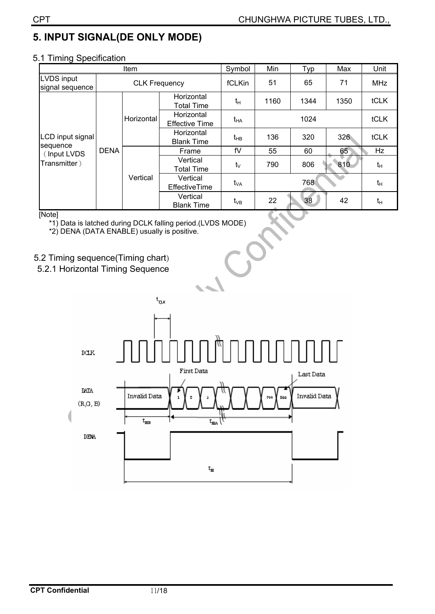# **5. INPUT SIGNAL(DE ONLY MODE)**

#### 5.1 Timing Specification

|                                      |             | Item                 |                                     | Symbol     | Min  | Typ  | Max  | Unit        |
|--------------------------------------|-------------|----------------------|-------------------------------------|------------|------|------|------|-------------|
| <b>LVDS input</b><br>signal sequence |             | <b>CLK Frequency</b> |                                     | fCLKin     | 51   | 65   | 71   | MHz         |
| LCD input signal                     |             |                      | Horizontal<br><b>Total Time</b>     | $t_H$      | 1160 | 1344 | 1350 | <b>tCLK</b> |
|                                      |             | Horizontal           | Horizontal<br><b>Effective Time</b> | $t_{HA}$   |      | tCLK |      |             |
|                                      |             |                      | Horizontal<br><b>Blank Time</b>     | $t_{HB}$   | 136  | 320  | 326  | tCLK        |
| sequence<br>(Input LVDS              | <b>DENA</b> |                      | Frame                               | fV         | 55   | 60   | 65   | Hz          |
| Transmitter)                         |             |                      | Vertical<br><b>Total Time</b>       | $t_{\vee}$ | 790  | 806  | 810  | $t_H$       |
|                                      |             | Vertical             | Vertical<br><b>EffectiveTime</b>    | $t_{VA}$   |      | 768  |      | $t_H$       |
|                                      |             |                      | Vertical<br><b>Blank Time</b>       | $t_{VB}$   | 22   | 38   | 42   | $t_{H}$     |

#### [Note]

\*1) Data is latched during DCLK falling period.(LVDS MODE)

\*2) DENA (DATA ENABLE) usually is positive.

#### 5.2 Timing sequence(Timing chart)

5.2.1 Horizontal Timing Sequence

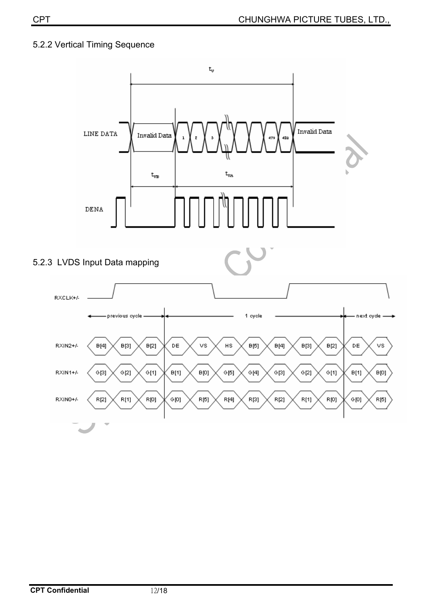#### 5.2.2 Vertical Timing Sequence

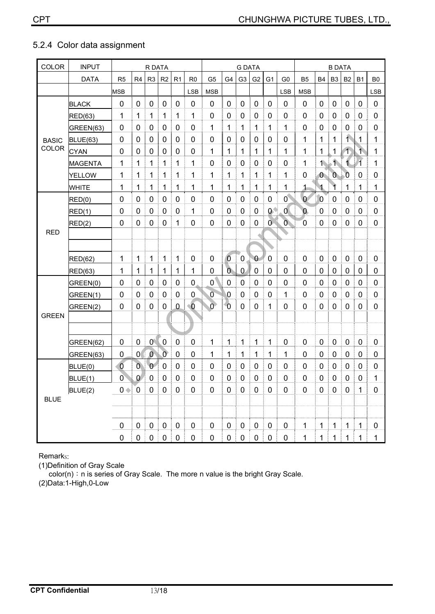| 5.2.4 Color data assignment |  |
|-----------------------------|--|
|-----------------------------|--|

| <b>COLOR</b> | <b>INPUT</b>   |                | R DATA           |                  |                |                |                |                | <b>G DATA</b>  |                |                |                | <b>B DATA</b>  |                  |                |                    |                    |                         |                |
|--------------|----------------|----------------|------------------|------------------|----------------|----------------|----------------|----------------|----------------|----------------|----------------|----------------|----------------|------------------|----------------|--------------------|--------------------|-------------------------|----------------|
|              | <b>DATA</b>    | R <sub>5</sub> | R4               | R <sub>3</sub>   | R <sub>2</sub> | R <sub>1</sub> | R <sub>0</sub> | G <sub>5</sub> | G4             | G <sub>3</sub> | G <sub>2</sub> | G <sub>1</sub> | G <sub>0</sub> | B <sub>5</sub>   | <b>B4</b>      | B <sub>3</sub>     | <b>B2</b>          | <b>B1</b>               | B <sub>0</sub> |
|              |                | <b>MSB</b>     |                  |                  |                |                | <b>LSB</b>     | <b>MSB</b>     |                |                |                |                | <b>LSB</b>     | <b>MSB</b>       |                |                    |                    |                         | <b>LSB</b>     |
|              | <b>BLACK</b>   | 0              | 0                | 0                | 0              | $\mathbf 0$    | $\mathbf 0$    | 0              | 0              | 0              | 0              | 0              | $\overline{0}$ | $\mathbf 0$      | 0              | 0                  | 0                  | 0                       | $\mathbf 0$    |
|              | <b>RED(63)</b> | 1              | 1                | 1                | 1              | 1              | 1              | 0              | 0              | 0              | 0              | 0              | $\overline{0}$ | $\mathbf 0$      | 0              | 0                  | 0                  | 0                       | $\mathbf 0$    |
|              | GREEN(63)      | $\mathbf 0$    | 0                | $\boldsymbol{0}$ | 0              | 0              | $\mathbf 0$    | 1              | 1              | 1              | $\mathbf{1}$   | 1              | 1              | $\overline{0}$   | $\mathbf 0$    | $\mathbf 0$        | $\mathbf 0$        | 0                       | $\mathbf 0$    |
| <b>BASIC</b> | BLUE(63)       | 0              | 0                | 0                | 0              | $\pmb{0}$      | 0              | 0              | 0              | 0              | 0              | 0              | 0              | 1                | $\mathbf{1}$   | 1                  | $\hat{\mathbf{t}}$ | 1                       | 1              |
| COLOR        | <b>CYAN</b>    | 0              | 0                | 0                | 0              | 0              | 0              | 1              | 1              | 1              | 1              | 1              | 1              | 1                | $\mathbf{1}$   | 1                  | $\overline{1}$     | $\mathbf{1}$            | 1              |
|              | <b>MAGENTA</b> | 1              | 1                | 1                | 1              | 1              | 1              | 0              | 0              | $\mathbf 0$    | 0              | 0              | $\overline{0}$ | 1                | $\overline{1}$ | $\hat{\mathbf{1}}$ | 1                  | $\overline{\mathbf{1}}$ | 1              |
|              | <b>YELLOW</b>  | 1              | 1                | 1                | 1              | 1              | 1              | 1              | 1              | 1              | 1              | 1              | 1              | $\mathbf 0$      | $\mathbf{0}$   | $\overline{0}$     | $\overline{0}$     | 0                       | 0              |
|              | <b>WHITE</b>   | 1              | 1                | 1                | 1              | 1              | 1              | 1              | 1              | 1              | 1              | 1              | 1              | $\mathbf{1}$     | 1              | 1                  | 1                  | 1                       | 1              |
|              | RED(0)         | 0              | 0                | 0                | 0              | 0              | 0              | 0              | 0              | 0              | 0              | 0              | $\overline{0}$ | $\overline{0}$   | $\overline{0}$ | 0                  | 0                  | 0                       | 0              |
|              | RED(1)         | $\mathbf 0$    | 0                | $\mathbf 0$      | $\mathbf 0$    | $\mathbf 0$    | 1              | $\mathbf 0$    | 0              | $\overline{0}$ | 0              | $0^{\circ}$    | 0              | $\mathbf{0}$     | 0              | $\mathbf 0$        | $\mathbf 0$        | 0                       | $\mathbf 0$    |
|              | RED(2)         | 0              | 0                | 0                | 0              | 1              | 0              | 0              | 0              | $\mathbf 0$    | 0              | $\overline{0}$ | $\overline{O}$ | 0                | 0              | 0                  | 0                  | 0                       | $\mathbf 0$    |
| <b>RED</b>   |                |                |                  |                  |                |                |                |                |                |                |                |                |                |                  |                |                    |                    |                         |                |
|              |                |                |                  |                  |                |                |                |                |                |                |                |                |                |                  |                |                    |                    |                         |                |
|              | <b>RED(62)</b> | 1              | 1                | 1                | 1              | 1              | $\mathbf 0$    | 0              | $\overline{0}$ | $\pmb{0}$      | $\bf{0}$       | $\mathbf 0$    | $\mathbf 0$    | $\mathbf 0$      | 0              | 0                  | $\boldsymbol{0}$   | $\mathbf 0$             | $\mathbf 0$    |
|              | RED(63)        | 1              | 1                | $\mathbf 1$      | 1              | 1              | 1              | 0              | $\overline{0}$ | $\mathbf 0$    | 0              | 0              | 0              | $\mathbf 0$      | 0              | 0                  | 0                  | 0                       | 0              |
|              | GREEN(0)       | 0              | 0                | 0                | 0              | 0              | $\pmb{0}$      | 0              | 0              | 0              | 0              | 0              | 0              | $\mathbf 0$      | 0              | 0                  | 0                  | 0                       | 0              |
|              | GREEN(1)       | 0              | $\mathbf 0$      | $\mathbf 0$      | $\mathbf 0$    | 0              | $\mathbf 0$    | Ō              | 0              | $\mathbf 0$    | 0              | 0              | 1              | $\overline{0}$   | 0              | 0                  | $\mathbf 0$        | 0                       | $\mathbf 0$    |
|              | GREEN(2)       | 0              | 0                | $\mathbf 0$      | 0              | $\mathbf 0$    | $\bullet$ 0    | $\overline{0}$ | $\overline{0}$ | $\overline{0}$ | 0              | $\mathbf{1}$   | 0              | $\overline{0}$   | 0              | 0                  | 0                  | 0                       | 0              |
| <b>GREEN</b> |                |                |                  |                  |                |                |                |                |                |                |                |                |                |                  |                |                    |                    |                         |                |
|              |                |                |                  |                  |                |                |                |                |                |                |                |                |                |                  |                |                    |                    |                         |                |
|              | GREEN(62)      | 0              | 0                | 0 <sup>1</sup>   | $\mathbf 0$    | $\mathbf 0$    | $\mathbf 0$    | 1              | 1              | $\mathbf{1}$   | 1              | 1              | $\mathbf 0$    | $\mathbf 0$      | 0              | 0                  | $\mathbf 0$        | $\mathbf 0$             | $\mathbf 0$    |
|              | GREEN(63)      | 0              | 0                | $\overline{0}$   | $\overline{0}$ | $\mathbf 0$    | 0              | 1              | 1              | 1              | 1              | 1              | 1              | $\mathbf 0$      | 0              | 0                  | 0                  | 0                       | $\mathbf 0$    |
|              | BLUE(0)        | $\overline{0}$ | Ō                | $\overline{0}$   | 0              | 0              | 0              | 0              | 0              | 0              | 0              | 0              | 0              | $\mathbf 0$      | 0              | 0                  | 0                  | 0                       | $\mathbf 0$    |
|              | BLUE(1)        | 0              | $\mathbf{0}$     | $\mathbf 0$      | 0              | 0              | 0              | 0              | 0              | 0              | 0              | 0              | $\overline{0}$ | 0                | 0              | 0                  | $\mathbf 0$        | 0                       | 1              |
|              | BLUE(2)        | $0 \leftarrow$ | $\boldsymbol{0}$ | 0                | 0              | 0              | 0              | 0              | 0              | 0              | 0              | 0              | 0              | $\boldsymbol{0}$ | $\pmb{0}$      | 0                  | $\mathbf 0$        | 1                       | 0              |
| <b>BLUE</b>  |                |                |                  |                  |                |                |                |                |                |                |                |                |                |                  |                |                    |                    |                         |                |
|              |                |                |                  |                  |                |                |                |                |                |                |                |                |                |                  |                |                    |                    |                         |                |
|              |                | $\pmb{0}$      | $\mathbf 0$      | $\pmb{0}$        | $\pmb{0}$      | $\pmb{0}$      | $\pmb{0}$      | 0              | $\pmb{0}$      | $\pmb{0}$      | $\pmb{0}$      | $\pmb{0}$      | $\pmb{0}$      | 1                | $\mathbf{1}$   | $\mathbf{1}$       | 1                  | $\mathbf{1}$            | $\pmb{0}$      |
|              |                | 0              | 0 <sup>1</sup>   |                  | $0$   $0$      | 0              | $\mathbf 0$    | 0              | 0              | 0<br>Ť.        | 0              | 0              | $\pmb{0}$      | 1                | $\mathbf 1$    | $\mathbf 1$        | 1                  | 1                       | 1              |

Remarks:

(1)Definition of Gray Scale

 $\overline{a}$  color(n): n is series of Gray Scale. The more n value is the bright Gray Scale.

(2)Data:1-High,0-Low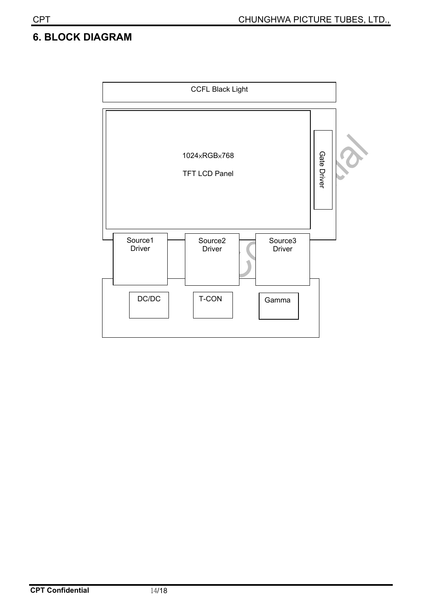## **6. BLOCK DIAGRAM**

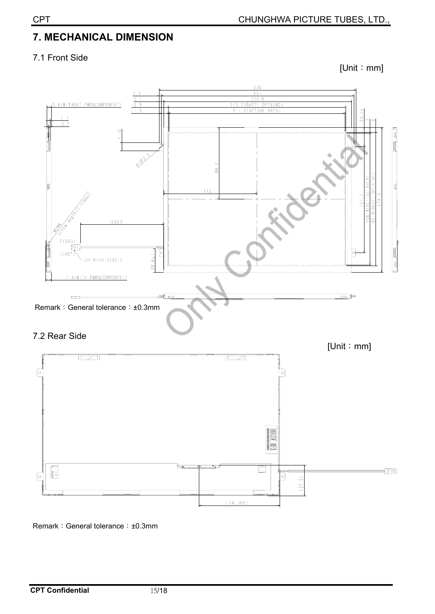# **7. MECHANICAL DIMENSION**

#### 7.1 Front Side

 $[Unit : mm]$ 





Remark: General tolerance: ±0.3mm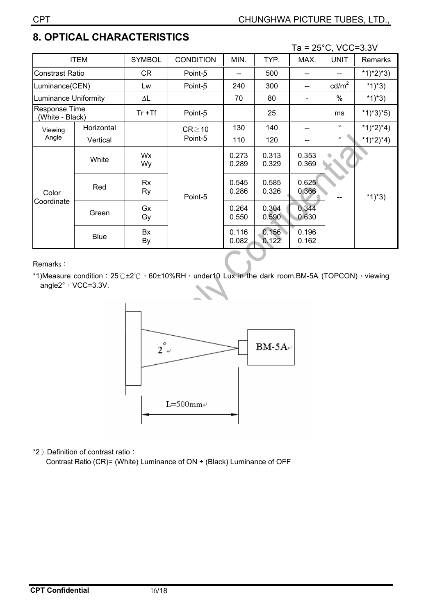# **8. OPTICAL CHARACTERISTICS**

|                                  |             |               |                        |                |                | Ta = $25^{\circ}$ C, VCC=3.3V |                 |                |
|----------------------------------|-------------|---------------|------------------------|----------------|----------------|-------------------------------|-----------------|----------------|
| <b>ITEM</b>                      |             | <b>SYMBOL</b> | <b>CONDITION</b>       | MIN.           | TYP.           | MAX.                          | <b>UNIT</b>     | <b>Remarks</b> |
| Constrast Ratio                  |             | CR            | Point-5                | --             | 500            | --                            |                 | $*1)*2)*3)$    |
| Luminance(CEN)                   |             | Lw            | Point-5                | 240            | 300            |                               | $\text{cd/m}^2$ | $*1)*3)$       |
| uminance Uniformity              |             | ΔL            |                        | 70             | 80             |                               | $\%$            | $*1)*3)$       |
| Response Time<br>(White - Black) |             | $Tr + Tf$     | Point-5                |                | 25             |                               | ms              | $*1)*3*5)$     |
| Viewing<br>Angle                 | Horizontal  |               | $CR \ge 10$<br>Point-5 | 130            | 140            | --                            | $\circ$         | *1)*2)*4)      |
|                                  | Vertical    |               |                        | 110            | 120            |                               | $\circ$         | $*1)*2)*4)$    |
| Color<br>Coordinate              | White       | Wx<br>Wy      | Point-5                | 0.273<br>0.289 | 0.313<br>0.329 | 0.353<br>0.369                |                 |                |
|                                  | Red         | Rx<br>Ry      |                        | 0.545<br>0.286 | 0.585<br>0.326 | 0.625<br>0.366                |                 | *1)*3)         |
|                                  | Green       | Gx<br>Gy      |                        | 0.264<br>0.550 | 0.304<br>0.590 | 0.344<br>0.630                |                 |                |
|                                  | <b>Blue</b> | Bx<br>By      |                        | 0.116<br>0.082 | 0.156<br>0.122 | 0.196<br>0.162                |                 |                |

Remark<sub>S</sub>:

\*1)Measure condition:  $25^\circ C \pm 2^\circ C$ , 60±10%RH, under10 Lux in the dark room.BM-5A (TOPCON), viewing angle2°, VCC=3.3V.



\*2) Definition of contrast ratio: Contrast Ratio (CR)= (White) Luminance of ON ÷ (Black) Luminance of OFF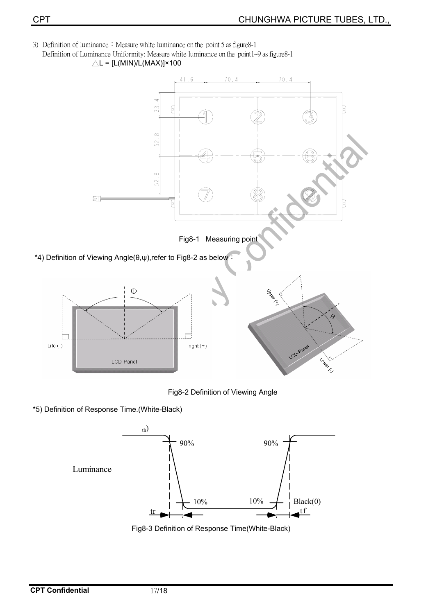3) Definition of luminance : Measure white luminance on the point 5 as figure 8-1 Definition of Luminance Uniformity: Measure white luminance on the point1~9 as figure8-1





\*5) Definition of Response Time.(White-Black)



Fig8-3 Definition of Response Time(White-Black)